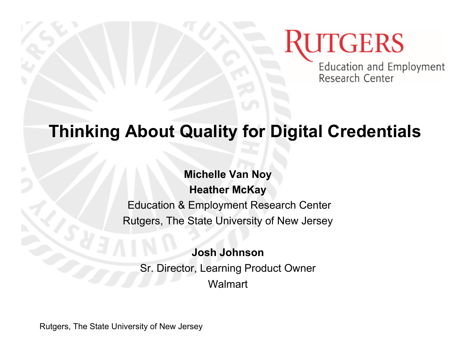Education and Employment Research Center

#### **Thinking About Quality for Digital Credentials**

**Michelle Van Noy Heather McKay** Education & Employment Research Center Rutgers, The State University of New Jersey

**Josh Johnson** Sr. Director, Learning Product Owner **Walmart** 

Rutgers, The State University of New Jersey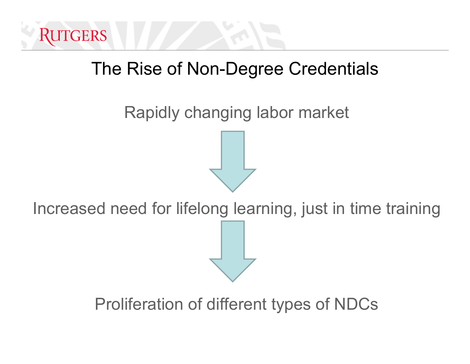

#### The Rise of Non-Degree Credentials

Rapidly changing labor market

Increased need for lifelong learning, just in time training

Proliferation of different types of NDCs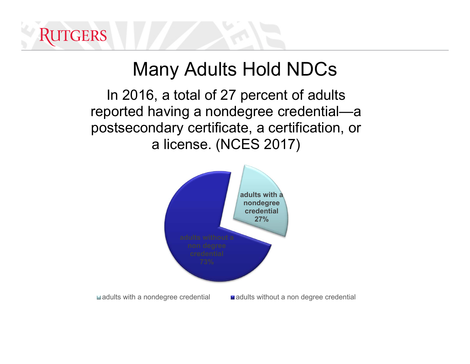## Many Adults Hold NDCs

In 2016, a total of 27 percent of adults reported having a nondegree credential—a postsecondary certificate, a certification, or a license. (NCES 2017)

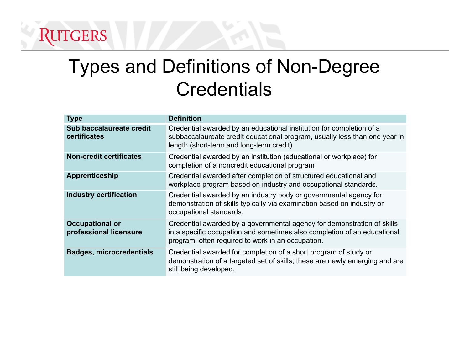## Types and Definitions of Non-Degree Credentials

| <b>Type</b>                                      | <b>Definition</b>                                                                                                                                                                                        |  |
|--------------------------------------------------|----------------------------------------------------------------------------------------------------------------------------------------------------------------------------------------------------------|--|
| Sub baccalaureate credit<br>certificates         | Credential awarded by an educational institution for completion of a<br>subbaccalaureate credit educational program, usually less than one year in<br>length (short-term and long-term credit)           |  |
| <b>Non-credit certificates</b>                   | Credential awarded by an institution (educational or workplace) for<br>completion of a noncredit educational program                                                                                     |  |
| Apprenticeship                                   | Credential awarded after completion of structured educational and<br>workplace program based on industry and occupational standards.                                                                     |  |
| <b>Industry certification</b>                    | Credential awarded by an industry body or governmental agency for<br>demonstration of skills typically via examination based on industry or<br>occupational standards.                                   |  |
| <b>Occupational or</b><br>professional licensure | Credential awarded by a governmental agency for demonstration of skills<br>in a specific occupation and sometimes also completion of an educational<br>program; often required to work in an occupation. |  |
| <b>Badges, microcredentials</b>                  | Credential awarded for completion of a short program of study or<br>demonstration of a targeted set of skills; these are newly emerging and are<br>still being developed.                                |  |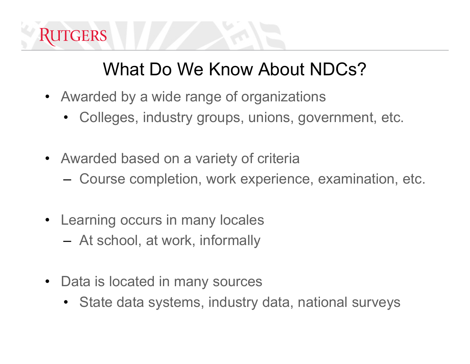

## What Do We Know About NDCs?

- Awarded by a wide range of organizations
	- •Colleges, industry groups, unions, government, etc.
- Awarded based on a variety of criteria
	- –Course completion, work experience, examination, etc.
- Learning occurs in many locales
	- –At school, at work, informally
- Data is located in many sources
	- •State data systems, industry data, national surveys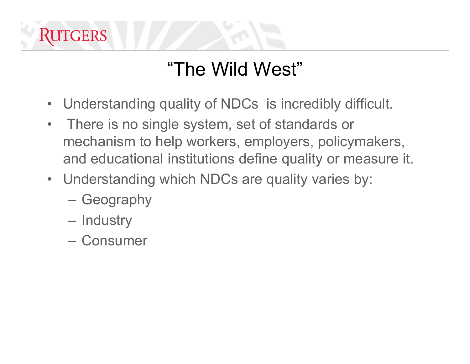

## "The Wild West"

- $\bullet$ Understanding quality of NDCs is incredibly difficult.
- $\bullet$  There is no single system, set of standards or mechanism to help workers, employers, policymakers, and educational institutions define quality or measure it.
- Understanding which NDCs are quality varies by:
	- Geography
	- Industry
	- Consumer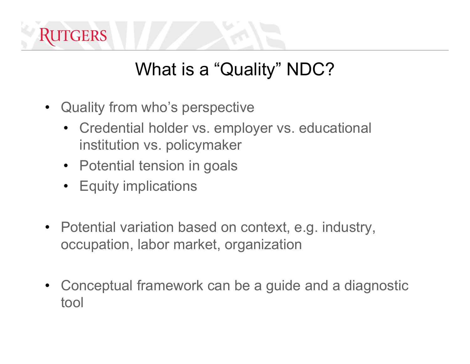

## What is a "Quality" NDC?

- Quality from who's perspective
	- Credential holder vs. employer vs. educational institution vs. policymaker
	- Potential tension in goals
	- Equity implications
- Potential variation based on context, e.g. industry, occupation, labor market, organization
- Conceptual framework can be a guide and a diagnostic tool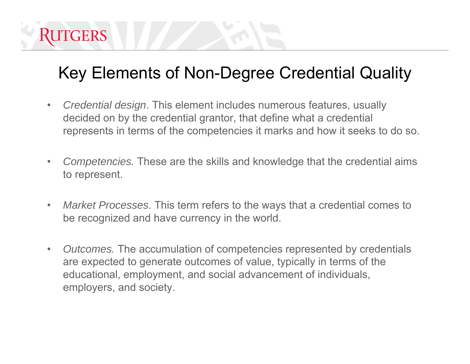#### Key Elements of Non-Degree Credential Quality

- $\bullet$  *Credential design*. This element includes numerous features, usually decided on by the credential grantor, that define what a credential represents in terms of the competencies it marks and how it seeks to do so.
- $\bullet$  *Competencies.* These are the skills and knowledge that the credential aims to represent.
- $\bullet$  *Market Processes*. This term refers to the ways that a credential comes to be recognized and have currency in the world.
- $\bullet$  *Outcomes.* The accumulation of competencies represented by credentials are expected to generate outcomes of value, typically in terms of the educational, employment, and social advancement of individuals, employers, and society.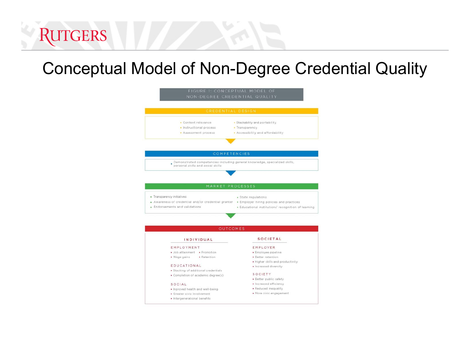#### Conceptual Model of Non-Degree Credential Quality

RUTGERS

| CREDENTIAL DESIGN                                                                                                              |                                                                                                        |
|--------------------------------------------------------------------------------------------------------------------------------|--------------------------------------------------------------------------------------------------------|
| · Content relevance                                                                                                            | · Stackability and portability                                                                         |
| · Instructional process                                                                                                        | · Transparency                                                                                         |
| · Assessment process                                                                                                           | . Accessibility and affordability                                                                      |
|                                                                                                                                |                                                                                                        |
| COMPETENCIES                                                                                                                   |                                                                                                        |
| Demonstrated competencies including general knowledge, specialized skills, personal skills and social skills                   |                                                                                                        |
|                                                                                                                                |                                                                                                        |
|                                                                                                                                |                                                                                                        |
|                                                                                                                                |                                                                                                        |
| MARKET PROCESSES                                                                                                               |                                                                                                        |
| · Transparency initiatives                                                                                                     |                                                                                                        |
|                                                                                                                                |                                                                                                        |
|                                                                                                                                | · State regulations                                                                                    |
|                                                                                                                                |                                                                                                        |
| . Awareness of credential and/or credential granter . Employer hiring policies and practices<br>· Endorsements and validations |                                                                                                        |
|                                                                                                                                |                                                                                                        |
| <b>OUTCOMES</b>                                                                                                                |                                                                                                        |
| INDIVIDUAL                                                                                                                     | SOCIETAL                                                                                               |
| EMPLOYMENT                                                                                                                     | EMPLOYER                                                                                               |
| · Job attainment · Promotion                                                                                                   | · Employee pipeline                                                                                    |
| · Wage gains<br>· Retention                                                                                                    | · Better retention                                                                                     |
|                                                                                                                                | · Higher skills and productivity                                                                       |
| EDUCATIONAL                                                                                                                    | · Increased diversity                                                                                  |
| · Stacking of additional credentials                                                                                           |                                                                                                        |
| · Completion of academic degree(s)                                                                                             | SOCIETY                                                                                                |
|                                                                                                                                | · Better public safety                                                                                 |
| SOCIAL                                                                                                                         | · Increased efficiency                                                                                 |
| . Inproved health and well-being<br>· Greater civic Involvement                                                                | · Educational institutions' recognition of learning<br>· Reduced inequality<br>· More civic engagement |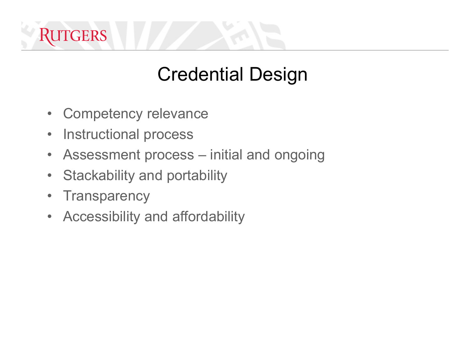## Credential Design

- $\bullet$ Competency relevance
- $\bullet$ Instructional process
- $\bullet$ Assessment process – initial and ongoing
- $\bullet$ Stackability and portability
- •**Transparency**
- $\bullet$ Accessibility and affordability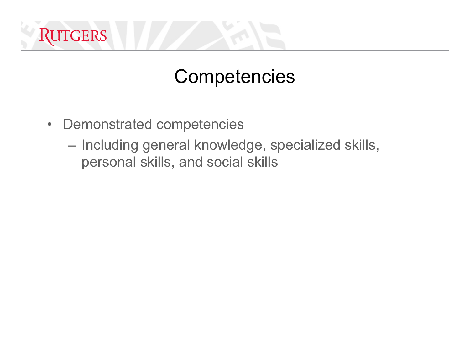

#### **Competencies**

- Demonstrated competencies
	- Including general knowledge, specialized skills, personal skills, and social skills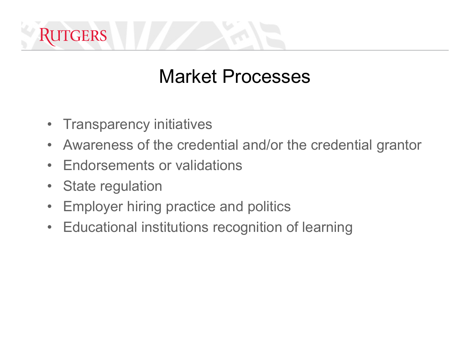## Market Processes

- Transparency initiatives
- $\bullet$ Awareness of the credential and/or the credential grantor
- $\bullet$ Endorsements or validations
- $\bullet$ State regulation
- •Employer hiring practice and politics
- $\bullet$ Educational institutions recognition of learning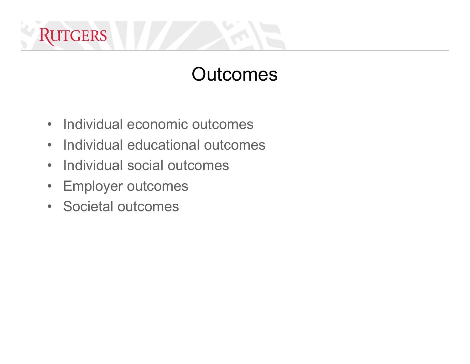## **Outcomes**

- Individual economic outcomes
- •Individual educational outcomes
- Individual social outcomes
- $\bullet$ Employer outcomes
- Societal outcomes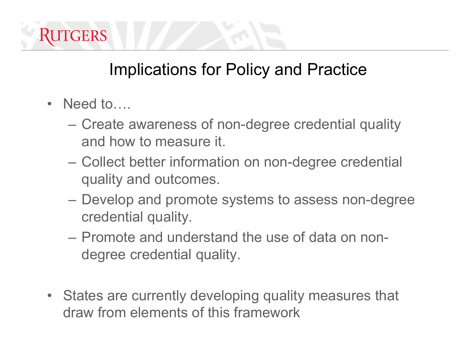

#### Implications for Policy and Practice

- Need to....
	- Create awareness of non-degree credential quality and how to measure it.
	- Collect better information on non-degree credential quality and outcomes.
	- Develop and promote systems to assess non-degree credential quality.
	- Promote and understand the use of data on nondegree credential quality.
- States are currently developing quality measures that draw from elements of this framework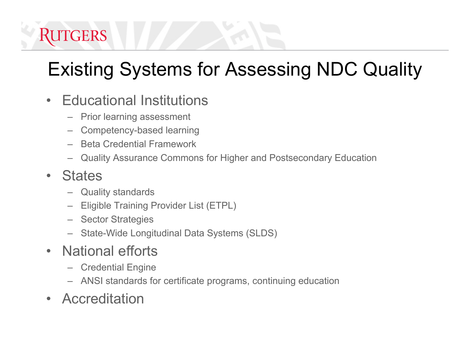## Existing Systems for Assessing NDC Quality

- $\bullet$  Educational Institutions
	- –Prior learning assessment
	- Competency-based learning
	- Beta Credential Framework
	- –Quality Assurance Commons for Higher and Postsecondary Education

#### $\bullet$ **States**

- Quality standards
- Eligible Training Provider List (ETPL)
- –**Sector Strategies**
- –State-Wide Longitudinal Data Systems (SLDS)
- $\bullet$  National efforts
	- Credential Engine
	- ANSI standards for certificate programs, continuing education
- $\bullet$ Accreditation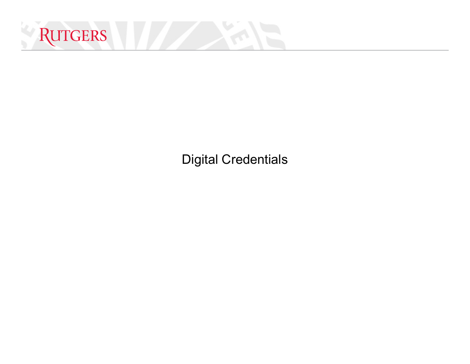

Digital Credentials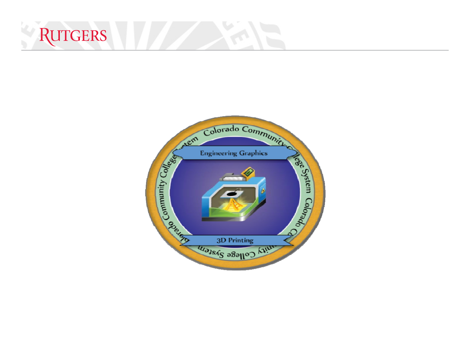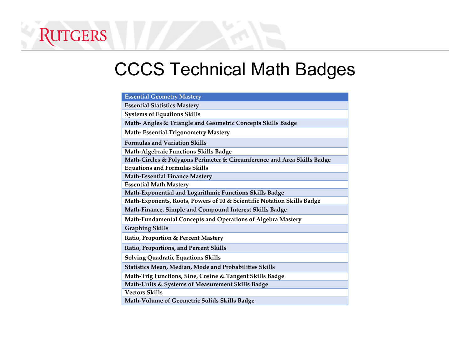#### CCCS Technical Math Badges

RUTGERS

| <b>Essential Geometry Mastery</b>                                       |
|-------------------------------------------------------------------------|
| <b>Essential Statistics Mastery</b>                                     |
| <b>Systems of Equations Skills</b>                                      |
| Math- Angles & Triangle and Geometric Concepts Skills Badge             |
| <b>Math-Essential Trigonometry Mastery</b>                              |
| <b>Formulas and Variation Skills</b>                                    |
| <b>Math-Algebraic Functions Skills Badge</b>                            |
| Math-Circles & Polygons Perimeter & Circumference and Area Skills Badge |
| <b>Equations and Formulas Skills</b>                                    |
| <b>Math-Essential Finance Mastery</b>                                   |
| <b>Essential Math Mastery</b>                                           |
| Math-Exponential and Logarithmic Functions Skills Badge                 |
| Math-Exponents, Roots, Powers of 10 & Scientific Notation Skills Badge  |
| Math-Finance, Simple and Compound Interest Skills Badge                 |
| Math-Fundamental Concepts and Operations of Algebra Mastery             |
| <b>Graphing Skills</b>                                                  |
| Ratio, Proportion & Percent Mastery                                     |
| Ratio, Proportions, and Percent Skills                                  |
| <b>Solving Quadratic Equations Skills</b>                               |
| Statistics Mean, Median, Mode and Probabilities Skills                  |
| Math-Trig Functions, Sine, Cosine & Tangent Skills Badge                |
| Math-Units & Systems of Measurement Skills Badge                        |
| <b>Vectors Skills</b>                                                   |
| Math-Volume of Geometric Solids Skills Badge                            |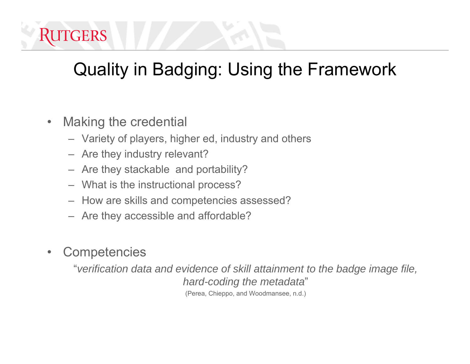## Quality in Badging: Using the Framework

- $\bullet$  Making the credential
	- Variety of players, higher ed, industry and others
	- Are they industry relevant?
	- Are they stackable and portability?
	- What is the instructional process?
	- How are skills and competencies assessed?
	- Are they accessible and affordable?
- •**Competencies**

"*verification data and evidence of skill attainment to the badge image file, hard-coding the metadata*" (Perea, Chieppo, and Woodmansee, n.d.)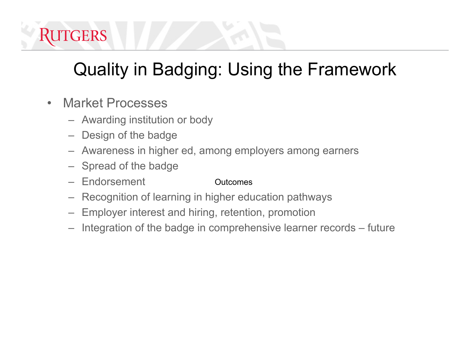

## Quality in Badging: Using the Framework

- $\bullet$  Market Processes
	- Awarding institution or body
	- Design of the badge
	- Awareness in higher ed, among employers among earners
	- Spread of the badge
	- **Endorsement Outcomes**
	- Recognition of learning in higher education pathways
	- Employer interest and hiring, retention, promotion
	- Integration of the badge in comprehensive learner records future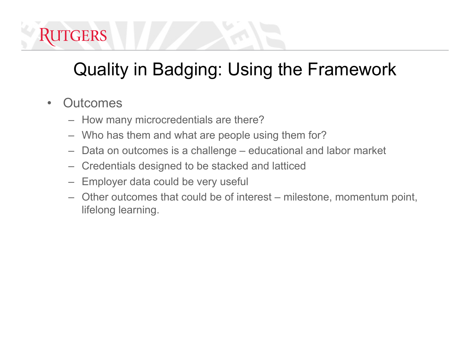

## Quality in Badging: Using the Framework

- $\bullet$ **Outcomes** 
	- How many microcredentials are there?
	- Who has them and what are people using them for?
	- Data on outcomes is a challenge educational and labor market
	- Credentials designed to be stacked and latticed
	- Employer data could be very useful
	- Other outcomes that could be of interest milestone, momentum point, lifelong learning.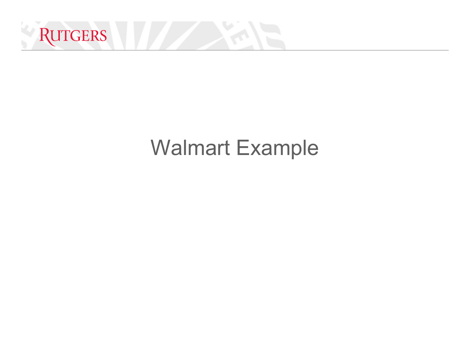

## Walmart Example